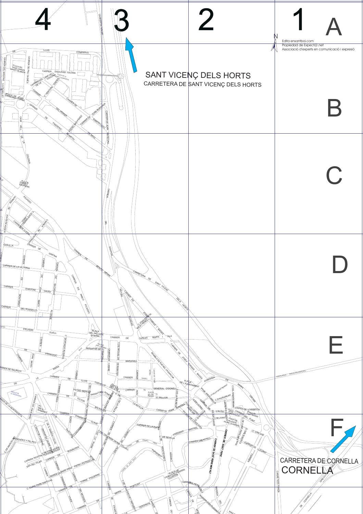